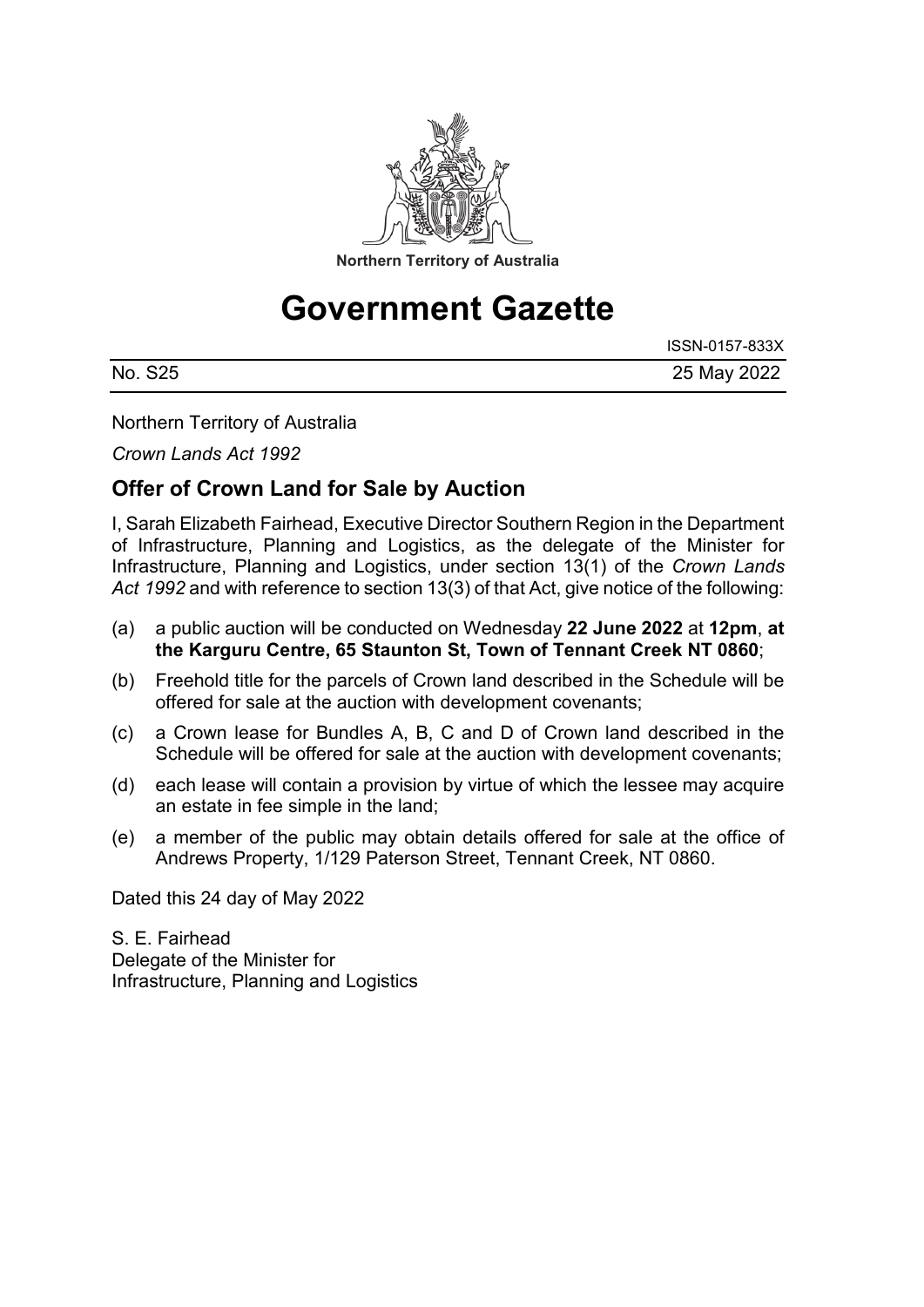

# **Government Gazette**

|         | ISSN-0157-833X |
|---------|----------------|
| No. S25 | 25 May 2022    |

Northern Territory of Australia

*Crown Lands Act 1992*

## **Offer of Crown Land for Sale by Auction**

I, Sarah Elizabeth Fairhead, Executive Director Southern Region in the Department of Infrastructure, Planning and Logistics, as the delegate of the Minister for Infrastructure, Planning and Logistics, under section 13(1) of the *Crown Lands*  Act 1992 and with reference to section 13(3) of that Act, give notice of the following:

- (a) a public auction will be conducted on Wednesday **22 June 2022** at **12pm**, **at the Karguru Centre, 65 Staunton St, Town of Tennant Creek NT 0860**;
- (b) Freehold title for the parcels of Crown land described in the Schedule will be offered for sale at the auction with development covenants;
- (c) a Crown lease for Bundles A, B, C and D of Crown land described in the Schedule will be offered for sale at the auction with development covenants;
- (d) each lease will contain a provision by virtue of which the lessee may acquire an estate in fee simple in the land;
- (e) a member of the public may obtain details offered for sale at the office of Andrews Property, 1/129 Paterson Street, Tennant Creek, NT 0860.

Dated this 24 day of May 2022

S. E. Fairhead Delegate of the Minister for Infrastructure, Planning and Logistics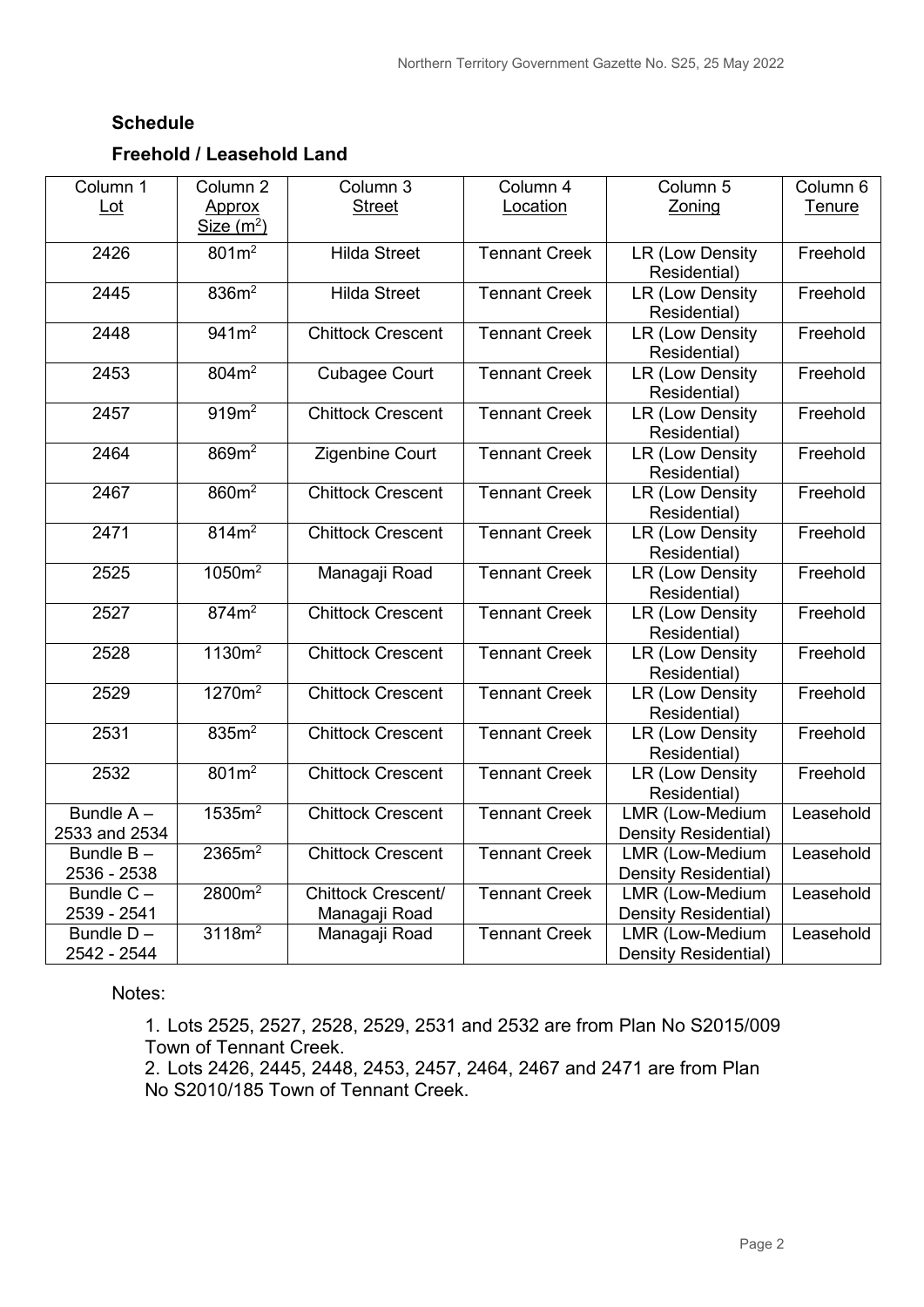#### **Schedule**

### **Freehold / Leasehold Land**

| Column 1                      | Column <sub>2</sub> | Column 3                  | Column 4             | Column 5                                | Column 6      |
|-------------------------------|---------------------|---------------------------|----------------------|-----------------------------------------|---------------|
| $Let$                         | Approx              | <b>Street</b>             | Location             | Zoning                                  | <b>Tenure</b> |
|                               | Size $(m^2)$        |                           |                      |                                         |               |
| 2426                          | 801m <sup>2</sup>   | <b>Hilda Street</b>       | <b>Tennant Creek</b> | <b>LR (Low Density</b>                  | Freehold      |
|                               |                     |                           |                      | Residential)                            |               |
| 2445                          | 836m <sup>2</sup>   | <b>Hilda Street</b>       | <b>Tennant Creek</b> | <b>LR (Low Density</b>                  | Freehold      |
| 2448                          | $941m^2$            | <b>Chittock Crescent</b>  | <b>Tennant Creek</b> | Residential)<br><b>LR (Low Density</b>  | Freehold      |
|                               |                     |                           |                      | Residential)                            |               |
| 2453                          | 804m <sup>2</sup>   | <b>Cubagee Court</b>      | <b>Tennant Creek</b> | LR (Low Density                         | Freehold      |
|                               |                     |                           |                      | Residential)                            |               |
| 2457                          | 919 <sup>2</sup>    | <b>Chittock Crescent</b>  | <b>Tennant Creek</b> | LR (Low Density                         | Freehold      |
|                               |                     |                           |                      | Residential)                            |               |
| 2464                          | 869m <sup>2</sup>   | Zigenbine Court           | <b>Tennant Creek</b> | <b>LR (Low Density</b>                  | Freehold      |
|                               |                     |                           |                      | Residential)                            |               |
| 2467                          | 860m <sup>2</sup>   | <b>Chittock Crescent</b>  | <b>Tennant Creek</b> | <b>LR (Low Density</b>                  | Freehold      |
|                               |                     |                           |                      | Residential)                            |               |
| 2471                          | 814m <sup>2</sup>   | <b>Chittock Crescent</b>  | <b>Tennant Creek</b> | LR (Low Density                         | Freehold      |
|                               |                     |                           |                      | Residential)                            |               |
| 2525                          | 1050m <sup>2</sup>  | Managaji Road             | <b>Tennant Creek</b> | <b>LR (Low Density</b>                  | Freehold      |
| 2527                          | 874m <sup>2</sup>   | <b>Chittock Crescent</b>  | <b>Tennant Creek</b> | Residential)<br><b>LR (Low Density</b>  | Freehold      |
|                               |                     |                           |                      | Residential)                            |               |
| 2528                          | 1130m <sup>2</sup>  | <b>Chittock Crescent</b>  | <b>Tennant Creek</b> | LR (Low Density                         | Freehold      |
|                               |                     |                           |                      | Residential)                            |               |
| 2529                          | 1270m <sup>2</sup>  | <b>Chittock Crescent</b>  | <b>Tennant Creek</b> | <b>LR (Low Density</b>                  | Freehold      |
|                               |                     |                           |                      | Residential)                            |               |
| 2531                          | 835m <sup>2</sup>   | <b>Chittock Crescent</b>  | <b>Tennant Creek</b> | LR (Low Density                         | Freehold      |
|                               |                     |                           |                      | Residential)                            |               |
| 2532                          | $801m^2$            | <b>Chittock Crescent</b>  | <b>Tennant Creek</b> | LR (Low Density                         | Freehold      |
|                               |                     |                           |                      | Residential)                            |               |
| Bundle A-                     | 1535m <sup>2</sup>  | <b>Chittock Crescent</b>  | <b>Tennant Creek</b> | <b>LMR (Low-Medium</b>                  | Leasehold     |
| 2533 and 2534<br>Bundle $B -$ |                     |                           |                      | Density Residential)                    |               |
|                               | 2365m <sup>2</sup>  | <b>Chittock Crescent</b>  | <b>Tennant Creek</b> | LMR (Low-Medium                         | Leasehold     |
| 2536 - 2538<br>Bundle $C -$   | 2800m <sup>2</sup>  | <b>Chittock Crescent/</b> | <b>Tennant Creek</b> | Density Residential)<br>LMR (Low-Medium | Leasehold     |
| 2539 - 2541                   |                     | Managaji Road             |                      | Density Residential)                    |               |
| Bundle $D -$                  | 3118m <sup>2</sup>  | Managaji Road             | <b>Tennant Creek</b> | LMR (Low-Medium                         | Leasehold     |
| 2542 - 2544                   |                     |                           |                      | Density Residential)                    |               |

Notes:

1. Lots 2525, 2527, 2528, 2529, 2531 and 2532 are from Plan No S2015/009 Town of Tennant Creek.

2. Lots 2426, 2445, 2448, 2453, 2457, 2464, 2467 and 2471 are from Plan No S2010/185 Town of Tennant Creek.